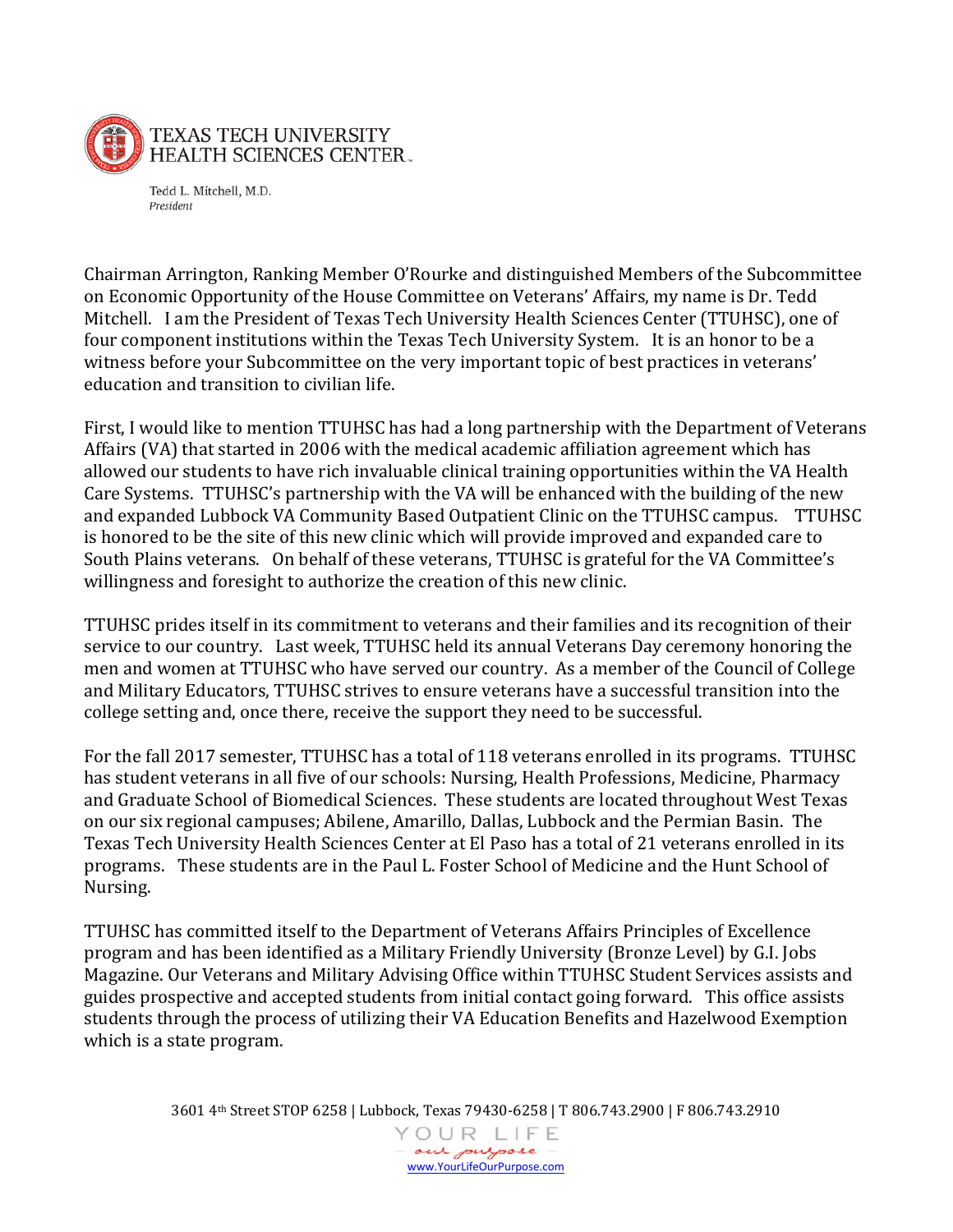

Tedd L. Mitchell, M.D. President

Chairman Arrington, Ranking Member O'Rourke and distinguished Members of the Subcommittee on Economic Opportunity of the House Committee on Veterans' Affairs, my name is Dr. Tedd Mitchell. I am the President of Texas Tech University Health Sciences Center (TTUHSC), one of four component institutions within the Texas Tech University System. It is an honor to be a witness before your Subcommittee on the very important topic of best practices in veterans' education and transition to civilian life.

First, I would like to mention TTUHSC has had a long partnership with the Department of Veterans Affairs (VA) that started in 2006 with the medical academic affiliation agreement which has allowed our students to have rich invaluable clinical training opportunities within the VA Health Care Systems. TTUHSC's partnership with the VA will be enhanced with the building of the new and expanded Lubbock VA Community Based Outpatient Clinic on the TTUHSC campus. TTUHSC is honored to be the site of this new clinic which will provide improved and expanded care to South Plains veterans. On behalf of these veterans, TTUHSC is grateful for the VA Committee's willingness and foresight to authorize the creation of this new clinic.

TTUHSC prides itself in its commitment to veterans and their families and its recognition of their service to our country. Last week, TTUHSC held its annual Veterans Day ceremony honoring the men and women at TTUHSC who have served our country. As a member of the Council of College and Military Educators, TTUHSC strives to ensure veterans have a successful transition into the college setting and, once there, receive the support they need to be successful.

For the fall 2017 semester, TTUHSC has a total of 118 veterans enrolled in its programs. TTUHSC has student veterans in all five of our schools: Nursing, Health Professions, Medicine, Pharmacy and Graduate School of Biomedical Sciences. These students are located throughout West Texas on our six regional campuses; Abilene, Amarillo, Dallas, Lubbock and the Permian Basin. The Texas Tech University Health Sciences Center at El Paso has a total of 21 veterans enrolled in its programs. These students are in the Paul L. Foster School of Medicine and the Hunt School of Nursing.

TTUHSC has committed itself to the Department of Veterans Affairs Principles of Excellence program and has been identified as a Military Friendly University (Bronze Level) by G.I. Jobs Magazine. Our Veterans and Military Advising Office within TTUHSC Student Services assists and guides prospective and accepted students from initial contact going forward. This office assists students through the process of utilizing their VA Education Benefits and Hazelwood Exemption which is a state program.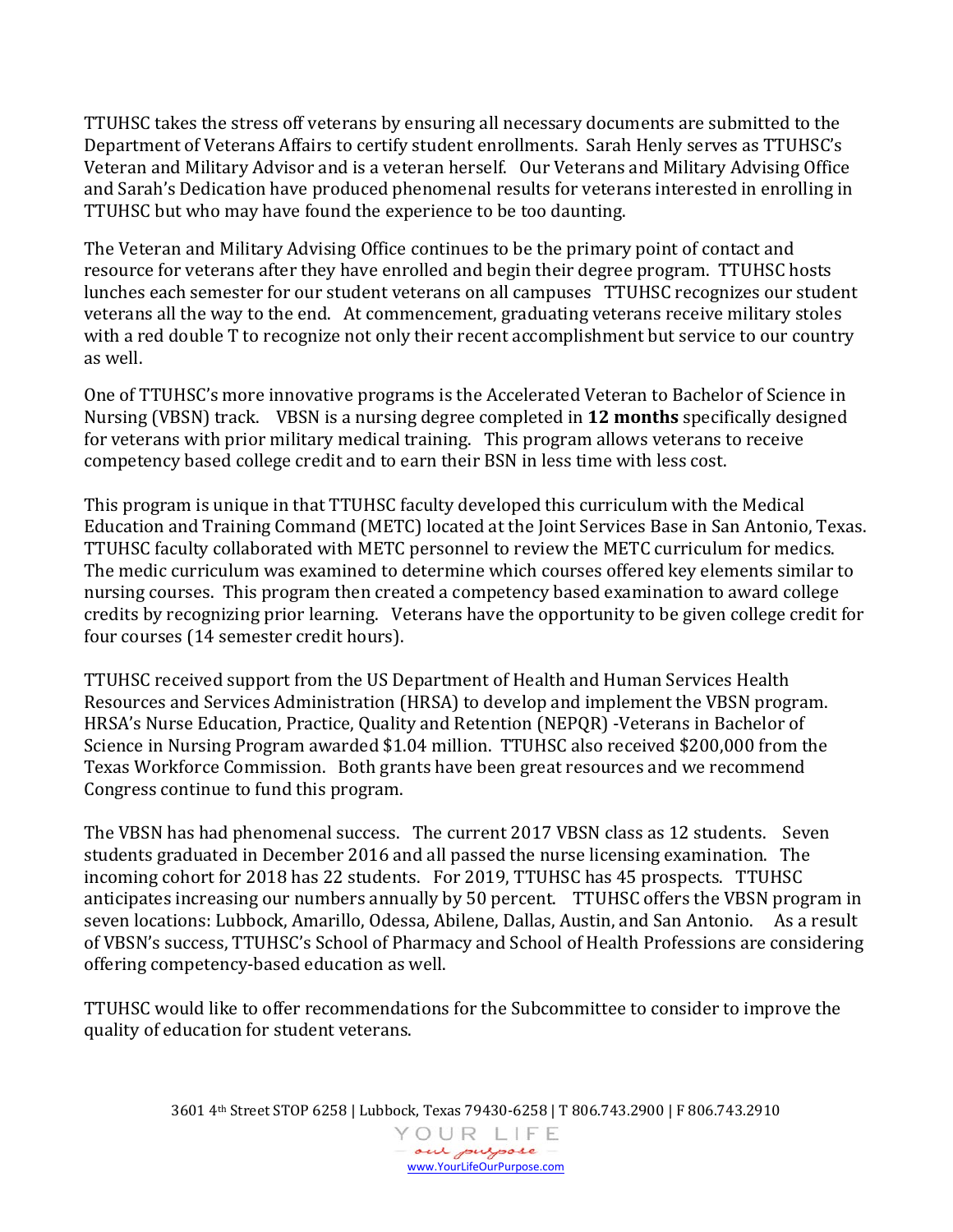TTUHSC takes the stress off veterans by ensuring all necessary documents are submitted to the Department of Veterans Affairs to certify student enrollments. Sarah Henly serves as TTUHSC's Veteran and Military Advisor and is a veteran herself. Our Veterans and Military Advising Office and Sarah's Dedication have produced phenomenal results for veterans interested in enrolling in TTUHSC but who may have found the experience to be too daunting.

The Veteran and Military Advising Office continues to be the primary point of contact and resource for veterans after they have enrolled and begin their degree program. TTUHSC hosts lunches each semester for our student veterans on all campuses TTUHSC recognizes our student veterans all the way to the end. At commencement, graduating veterans receive military stoles with a red double T to recognize not only their recent accomplishment but service to our country as well.

One of TTUHSC's more innovative programs is the Accelerated Veteran to Bachelor of Science in Nursing (VBSN) track. VBSN is a nursing degree completed in **12 months** specifically designed for veterans with prior military medical training. This program allows veterans to receive competency based college credit and to earn their BSN in less time with less cost.

This program is unique in that TTUHSC faculty developed this curriculum with the Medical Education and Training Command (METC) located at the Joint Services Base in San Antonio, Texas. TTUHSC faculty collaborated with METC personnel to review the METC curriculum for medics. The medic curriculum was examined to determine which courses offered key elements similar to nursing courses. This program then created a competency based examination to award college credits by recognizing prior learning. Veterans have the opportunity to be given college credit for four courses (14 semester credit hours).

TTUHSC received support from the US Department of Health and Human Services Health Resources and Services Administration (HRSA) to develop and implement the VBSN program. HRSA's Nurse Education, Practice, Quality and Retention (NEPQR) -Veterans in Bachelor of Science in Nursing Program awarded \$1.04 million. TTUHSC also received \$200,000 from the Texas Workforce Commission. Both grants have been great resources and we recommend Congress continue to fund this program.

The VBSN has had phenomenal success. The current 2017 VBSN class as 12 students. Seven students graduated in December 2016 and all passed the nurse licensing examination. The incoming cohort for 2018 has 22 students. For 2019, TTUHSC has 45 prospects. TTUHSC anticipates increasing our numbers annually by 50 percent. TTUHSC offers the VBSN program in seven locations: Lubbock, Amarillo, Odessa, Abilene, Dallas, Austin, and San Antonio. As a result of VBSN's success, TTUHSC's School of Pharmacy and School of Health Professions are considering offering competency-based education as well.

TTUHSC would like to offer recommendations for the Subcommittee to consider to improve the quality of education for student veterans.